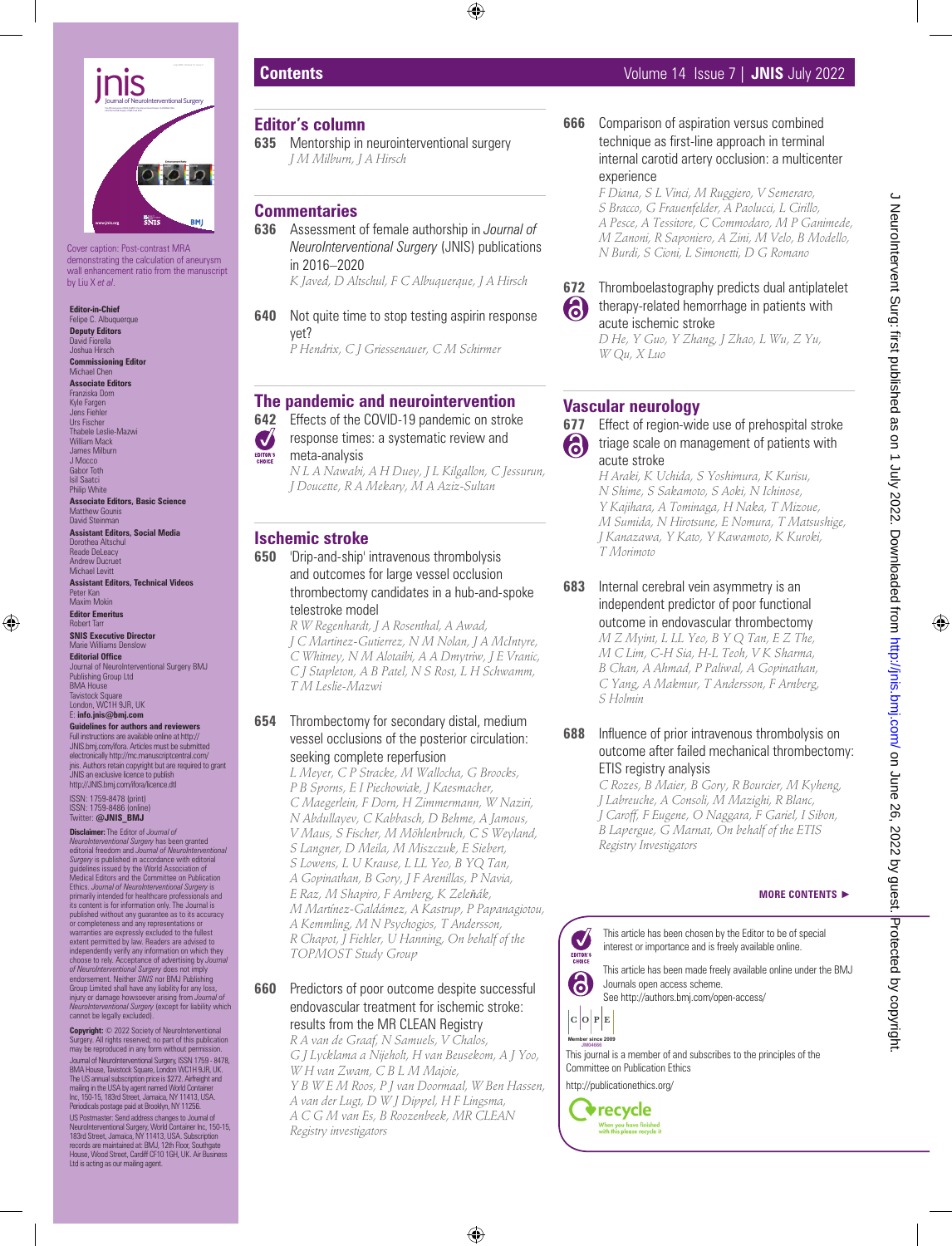

Cover caption: Post-contrast MRA demonstrating the calculation of aneurysm wall enhancement ratio from the manuscript by Liu X *et al*.

**Editor-in-Chief** Felipe C. Albuquerque **Deputy Editors** David Fiorella Joshua Hirsch

**Commissioning Editor** Michael Chen **Associate Editors**

Franziska Dorn Kyle Fargen Jens Fiehler Urs Fischer Thabele Leslie-Mazwi William Mack James Milburn J Mocco Gabor Toth Isil Saatci

Philip White **Associate Editors, Basic Science** Matthew Gounis David Steinman

**Assistant Editors, Social Media** Dorothea Altschul Reade DeLeacy Andrew Ducruet Michael Levitt **Assistant Editors, Technical Videos**

Peter Kan Maxim Mokin **Editor Emeritus**

Robert Tarr **SNIS Executive Director** Marie Williams Denslow

**Editorial Office** Journal of NeuroInterventional Surgery BMJ Publishing Group Ltd MA House Tavistock Square London, WC1H 9JR, UK

E: **info.jnis@bmj.com Guidelines for authors and reviewers**

Full instructions are available online at http:// JNIS.bmj.com/ifora. Articles must be submitted electronically http://mc.manuscriptcentral.com/ jnis. Authors retain copyright but are required to grant JNIS an exclusive licence to publish http://JNIS.bmi.com/ifora/licence.dtl

ISSN: 1759-8478 (print) ISSN: 1759-8486 (online) Twitter: **@JNIS\_BMJ**

**Disclaimer:** The Editor of *Journal of NeuroInterventional Surgery* has been granted<br>editorial freedom and *Journal of NeuroInterventional*<br>Surgery is published in accordance with editorial<br>guidelines issued by the World Association of<br>Medical Editors and the Ethics. *Journal of NeuroInterventional Surgery* is<br>primarily intended for healthcare professionals and<br>its content is for information only. The Journal is published without any guarantee as to its accuracy or completeness and any representations or warranties are expressly excluded to the fullest extent permitted by law. Readers are advised to<br>independently verify any information on which they<br>choose to rely. Acceptance of advertising by *Journal*<br>of Neurolnterventional Surgery does not imply<br>endotsiment. Neither S cannot be legally excluded).

Copyright: © 2022 Society of NeuroInterventional Surgery. All rights reserved; no part of this publication may be reproduced in any form without permission. Journal of NeuroInterventional Surgery, ISSN 1759 - 8478, BMA House, Tavistock Square, London WC1H 9JR, UK. The US annual subscription price is \$272. Airfreight and<br>mailing in the USA by agent named World Container<br>Inc, 150-15, 183rd Street, Jamaica, NY 11413, USA.<br>Periodicals postage paid at Brooklyn, NY 11256. US Postmaster: Send address changes to Journal of<br>NeuroInterventional Surgery, World Container Inc, 150-15,<br>183rd Street, Jamaica, NY 11413, USA. Subscription<br>records are maintained at: BMJ, 12th Floor, Southgate

House, Wood Street, Cardiff CF10 1GH, UK. Air Business Ltd is acting as our mailing agent

### **Editor's column**

**635** Mentorship in neurointerventional surgery *J M Milburn, J A Hirsch*

# **Commentaries**

- **636** Assessment of female authorship in *Journal of NeuroInterventional Surgery* (JNIS) publications in 2016–2020 *K Javed, D Altschul, F C Albuquerque, J A Hirsch*
- **640** Not quite time to stop testing aspirin response yet? *P Hendrix, C J Griessenauer, C M Schirmer*

# **The pandemic and neurointervention**

- **642** Effects of the COVID-19 pandemic on stroke
- response times: a systematic review and Ø
- meta-analysis

*N L A Nawabi, A H Duey, J L Kilgallon, C Jessurun, J Doucette, R A Mekary, M A Aziz-Sultan*

# **Ischemic stroke**

**650** 'Drip-and-ship' intravenous thrombolysis and outcomes for large vessel occlusion thrombectomy candidates in a hub-and-spoke telestroke model

*R W Regenhardt, J A Rosenthal, A Awad, J C Martinez-Gutierrez, N M Nolan, J A McIntyre, C Whitney, N M Alotaibi, A A Dmytriw, J E Vranic, C J Stapleton, A B Patel, N S Rost, L H Schwamm, T M Leslie-Mazwi*

#### **654** Thrombectomy for secondary distal, medium vessel occlusions of the posterior circulation: seeking complete reperfusion

*L Meyer, C P Stracke, M Wallocha, G Broocks, P B Sporns, E I Piechowiak, J Kaesmacher, C Maegerlein, F Dorn, H Zimmermann, W Naziri, N Abdullayev, C Kabbasch, D Behme, A Jamous, V Maus, S Fischer, M Möhlenbruch, C S Weyland, S Langner, D Meila, M Miszczuk, E Siebert, S Lowens, L U Krause, L LL Yeo, B YQ Tan, A Gopinathan, B Gory, J F Arenillas, P Navia, E Raz, M Shapiro, F Arnberg, K Zeleňák, M Martínez-Galdámez, A Kastrup, P Papanagiotou, A Kemmling, M N Psychogios, T Andersson, R Chapot, J Fiehler, U Hanning, On behalf of the TOPMOST Study Group*

#### **660** Predictors of poor outcome despite successful endovascular treatment for ischemic stroke: results from the MR CLEAN Registry

*R A van de Graaf, N Samuels, V Chalos, G J Lycklama a Nijeholt, H van Beusekom, A J Yoo, W H van Zwam, C B L M Majoie, Y B W E M Roos, P J van Doormaal, W Ben Hassen, A van der Lugt, D W J Dippel, H F Lingsma, A C G M van Es, B Roozenbeek, MR CLEAN Registry investigators*

# **Contents** Volume 14 Issue 7 | **JNIS** July 2022

**666** Comparison of aspiration versus combined technique as first-line approach in terminal internal carotid artery occlusion: a multicenter experience

> *F Diana, S L Vinci, M Ruggiero, V Semeraro, S Bracco, G Frauenfelder, A Paolucci, L Cirillo, A Pesce, A Tessitore, C Commodaro, M P Ganimede, M Zanoni, R Saponiero, A Zini, M Velo, B Modello, N Burdi, S Cioni, L Simonetti, D G Romano*



#### **672** Thromboelastography predicts dual antiplatelet therapy-related hemorrhage in patients with acute ischemic stroke

*D He, Y Guo, Y Zhang, J Zhao, L Wu, Z Yu, W Qu, X Luo*

# **Vascular neurology**



**677** Effect of region-wide use of prehospital stroke triage scale on management of patients with acute stroke

*H Araki, K Uchida, S Yoshimura, K Kurisu, N Shime, S Sakamoto, S Aoki, N Ichinose, Y Kajihara, A Tominaga, H Naka, T Mizoue, M Sumida, N Hirotsune, E Nomura, T Matsushige, J Kanazawa, Y Kato, Y Kawamoto, K Kuroki, T Morimoto*

**683** Internal cerebral vein asymmetry is an independent predictor of poor functional outcome in endovascular thrombectomy *M Z Myint, L LL Yeo, B Y Q Tan, E Z The, M C Lim, C-H Sia, H-L Teoh, V K Sharma, B Chan, A Ahmad, P Paliwal, A Gopinathan, C Yang, A Makmur, T Andersson, F Arnberg, S Holmin*

### **688** Influence of prior intravenous thrombolysis on outcome after failed mechanical thrombectomy: ETIS registry analysis

*C Rozes, B Maier, B Gory, R Bourcier, M Kyheng, J Labreuche, A Consoli, M Mazighi, R Blanc, J Caroff, F Eugene, O Naggara, F Gariel, I Sibon, B Lapergue, G Marnat, On behalf of the ETIS Registry Investigators*

#### **MORE CONTENTS** ►

This article has been chosen by the Editor to be of special  $\boldsymbol{\mathcal{U}}$ interest or importance and is freely available online. EDITOR'S

This article has been made freely available online under the BMJ 6 Journals open access scheme. See http://authors.bmj.com/open-access/

 $|c|o|P|E$ **Member since 2008**

This journal is a member of and subscribes to the principles of the **JM04666** Committee on Publication Ethics **JM00017 Member since 2009** 

http://publicationethics.org/